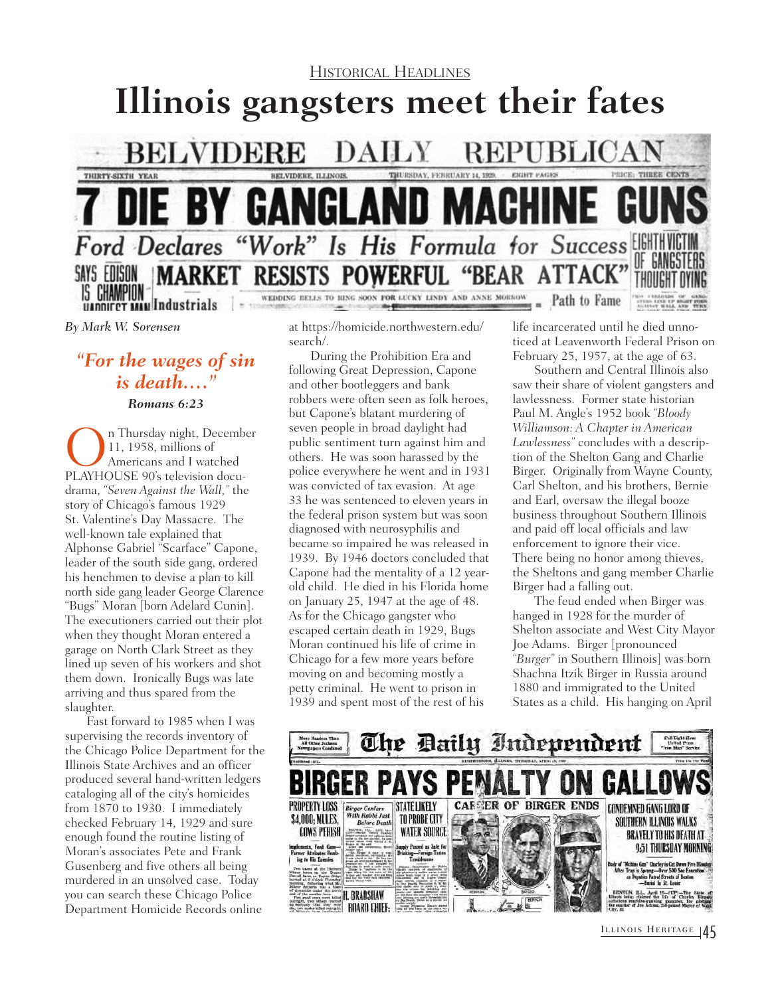

*By Mark W. Sorensen*

## *"For the wages of sin is death…."*

*Romans 6:23*

On Thursday night, December PLAYHOUSE 90's television docu-11, 1958, millions of Americans and I watched drama, *"Seven Against the Wall,"* the story of Chicago's famous 1929 St. Valentine's Day Massacre. The well-known tale explained that Alphonse Gabriel "Scarface" Capone, leader of the south side gang, ordered his henchmen to devise a plan to kill north side gang leader George Clarence "Bugs" Moran [born Adelard Cunin]. The executioners carried out their plot when they thought Moran entered a garage on North Clark Street as they lined up seven of his workers and shot them down. Ironically Bugs was late arriving and thus spared from the slaughter.

Fast forward to 1985 when I was supervising the records inventory of the Chicago Police Department for the Illinois State Archives and an officer produced several hand-written ledgers cataloging all of the city's homicides from 1870 to 1930. I immediately checked February 14, 1929 and sure enough found the routine listing of Moran's associates Pete and Frank Gusenberg and five others all being murdered in an unsolved case. Today you can search these Chicago Police Department Homicide Records online

at [https://homicide.northwestern.edu/](https://homicide.northwestern.edu/search/) [search/.](https://homicide.northwestern.edu/search/)

During the Prohibition Era and following Great Depression, Capone and other bootleggers and bank robbers were often seen as folk heroes, but Capone's blatant murdering of seven people in broad daylight had public sentiment turn against him and others. He was soon harassed by the police everywhere he went and in 1931 was convicted of tax evasion. At age 33 he was sentenced to eleven years in the federal prison system but was soon diagnosed with neurosyphilis and became so impaired he was released in 1939. By 1946 doctors concluded that Capone had the mentality of a 12 yearold child. He died in his Florida home on January 25, 1947 at the age of 48. As for the Chicago gangster who escaped certain death in 1929, Bugs Moran continued his life of crime in Chicago for a few more years before moving on and becoming mostly a petty criminal. He went to prison in 1939 and spent most of the rest of his

life incarcerated until he died unnoticed at Leavenworth Federal Prison on February 25, 1957, at the age of 63.

Southern and Central Illinois also saw their share of violent gangsters and lawlessness. Former state historian Paul M. Angle's 1952 book *"Bloody Williamson: A Chapter in American Lawlessness"* concludes with a description of the Shelton Gang and Charlie Birger. Originally from Wayne County, Carl Shelton, and his brothers, Bernie and Earl, oversaw the illegal booze business throughout Southern Illinois and paid off local officials and law enforcement to ignore their vice. There being no honor among thieves, the Sheltons and gang member Charlie Birger had a falling out.

The feud ended when Birger was hanged in 1928 for the murder of Shelton associate and West City Mayor Joe Adams. Birger [pronounced *"Burger"* in Southern Illinois] was born Shachna Itzik Birger in Russia around 1880 and immigrated to the United States as a child. His hanging on April